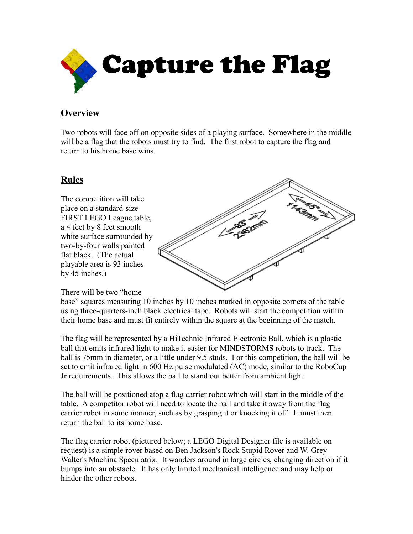

## **Overview**

Two robots will face off on opposite sides of a playing surface. Somewhere in the middle will be a flag that the robots must try to find. The first robot to capture the flag and return to his home base wins.

## **Rules**

The competition will take place on a standard-size FIRST LEGO League table, a 4 feet by 8 feet smooth white surface surrounded by two-by-four walls painted flat black. (The actual playable area is 93 inches by 45 inches.)



There will be two "home

base" squares measuring 10 inches by 10 inches marked in opposite corners of the table using three-quarters-inch black electrical tape. Robots will start the competition within their home base and must fit entirely within the square at the beginning of the match.

The flag will be represented by a HiTechnic Infrared Electronic Ball, which is a plastic ball that emits infrared light to make it easier for MINDSTORMS robots to track. The ball is 75mm in diameter, or a little under 9.5 studs. For this competition, the ball will be set to emit infrared light in 600 Hz pulse modulated (AC) mode, similar to the RoboCup Jr requirements. This allows the ball to stand out better from ambient light.

The ball will be positioned atop a flag carrier robot which will start in the middle of the table. A competitor robot will need to locate the ball and take it away from the flag carrier robot in some manner, such as by grasping it or knocking it off. It must then return the ball to its home base.

The flag carrier robot (pictured below; a LEGO Digital Designer file is available on request) is a simple rover based on Ben Jackson's Rock Stupid Rover and W. Grey Walter's Machina Speculatrix. It wanders around in large circles, changing direction if it bumps into an obstacle. It has only limited mechanical intelligence and may help or hinder the other robots.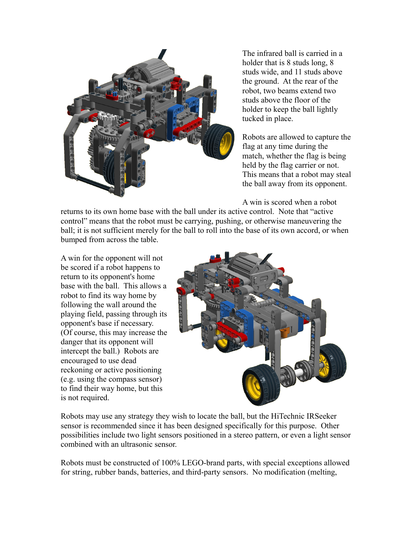

The infrared ball is carried in a holder that is 8 studs long, 8 studs wide, and 11 studs above the ground. At the rear of the robot, two beams extend two studs above the floor of the holder to keep the ball lightly tucked in place.

Robots are allowed to capture the flag at any time during the match, whether the flag is being held by the flag carrier or not. This means that a robot may steal the ball away from its opponent.

A win is scored when a robot

returns to its own home base with the ball under its active control. Note that "active control" means that the robot must be carrying, pushing, or otherwise maneuvering the ball; it is not sufficient merely for the ball to roll into the base of its own accord, or when bumped from across the table.

A win for the opponent will not be scored if a robot happens to return to its opponent's home base with the ball. This allows a robot to find its way home by following the wall around the playing field, passing through its opponent's base if necessary. (Of course, this may increase the danger that its opponent will intercept the ball.) Robots are encouraged to use dead reckoning or active positioning (e.g. using the compass sensor) to find their way home, but this is not required.



Robots may use any strategy they wish to locate the ball, but the HiTechnic IRSeeker sensor is recommended since it has been designed specifically for this purpose. Other possibilities include two light sensors positioned in a stereo pattern, or even a light sensor combined with an ultrasonic sensor.

Robots must be constructed of 100% LEGO-brand parts, with special exceptions allowed for string, rubber bands, batteries, and third-party sensors. No modification (melting,